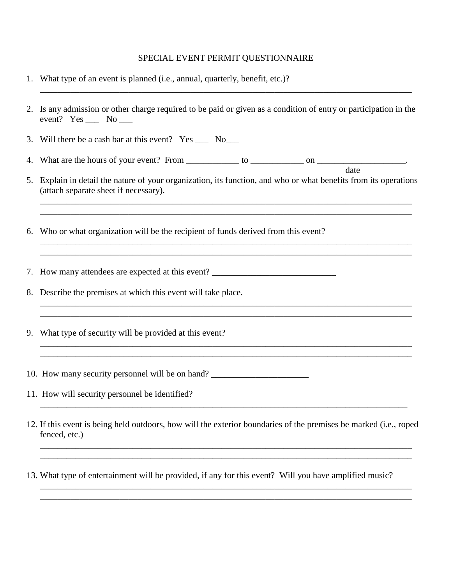## SPECIAL EVENT PERMIT QUESTIONNAIRE

\_\_\_\_\_\_\_\_\_\_\_\_\_\_\_\_\_\_\_\_\_\_\_\_\_\_\_\_\_\_\_\_\_\_\_\_\_\_\_\_\_\_\_\_\_\_\_\_\_\_\_\_\_\_\_\_\_\_\_\_\_\_\_\_\_\_\_\_\_\_\_\_\_\_\_\_\_\_\_\_\_\_\_\_

- 1. What type of an event is planned (i.e., annual, quarterly, benefit, etc.)?
- 2. Is any admission or other charge required to be paid or given as a condition of entry or participation in the event? Yes \_\_\_ No \_\_\_
- 3. Will there be a cash bar at this event? Yes \_\_\_ No\_\_\_
- 4. What are the hours of your event? From \_\_\_\_\_\_\_\_\_\_\_\_ to \_\_\_\_\_\_\_\_\_\_\_\_ on \_\_\_\_\_\_\_\_\_\_\_\_\_\_\_\_\_\_\_\_. date
- 5. Explain in detail the nature of your organization, its function, and who or what benefits from its operations (attach separate sheet if necessary).

\_\_\_\_\_\_\_\_\_\_\_\_\_\_\_\_\_\_\_\_\_\_\_\_\_\_\_\_\_\_\_\_\_\_\_\_\_\_\_\_\_\_\_\_\_\_\_\_\_\_\_\_\_\_\_\_\_\_\_\_\_\_\_\_\_\_\_\_\_\_\_\_\_\_\_\_\_\_\_\_\_\_\_\_ \_\_\_\_\_\_\_\_\_\_\_\_\_\_\_\_\_\_\_\_\_\_\_\_\_\_\_\_\_\_\_\_\_\_\_\_\_\_\_\_\_\_\_\_\_\_\_\_\_\_\_\_\_\_\_\_\_\_\_\_\_\_\_\_\_\_\_\_\_\_\_\_\_\_\_\_\_\_\_\_\_\_\_\_

\_\_\_\_\_\_\_\_\_\_\_\_\_\_\_\_\_\_\_\_\_\_\_\_\_\_\_\_\_\_\_\_\_\_\_\_\_\_\_\_\_\_\_\_\_\_\_\_\_\_\_\_\_\_\_\_\_\_\_\_\_\_\_\_\_\_\_\_\_\_\_\_\_\_\_\_\_\_\_\_\_\_\_\_ \_\_\_\_\_\_\_\_\_\_\_\_\_\_\_\_\_\_\_\_\_\_\_\_\_\_\_\_\_\_\_\_\_\_\_\_\_\_\_\_\_\_\_\_\_\_\_\_\_\_\_\_\_\_\_\_\_\_\_\_\_\_\_\_\_\_\_\_\_\_\_\_\_\_\_\_\_\_\_\_\_\_\_\_

\_\_\_\_\_\_\_\_\_\_\_\_\_\_\_\_\_\_\_\_\_\_\_\_\_\_\_\_\_\_\_\_\_\_\_\_\_\_\_\_\_\_\_\_\_\_\_\_\_\_\_\_\_\_\_\_\_\_\_\_\_\_\_\_\_\_\_\_\_\_\_\_\_\_\_\_\_\_\_\_\_\_\_\_ \_\_\_\_\_\_\_\_\_\_\_\_\_\_\_\_\_\_\_\_\_\_\_\_\_\_\_\_\_\_\_\_\_\_\_\_\_\_\_\_\_\_\_\_\_\_\_\_\_\_\_\_\_\_\_\_\_\_\_\_\_\_\_\_\_\_\_\_\_\_\_\_\_\_\_\_\_\_\_\_\_\_\_\_

\_\_\_\_\_\_\_\_\_\_\_\_\_\_\_\_\_\_\_\_\_\_\_\_\_\_\_\_\_\_\_\_\_\_\_\_\_\_\_\_\_\_\_\_\_\_\_\_\_\_\_\_\_\_\_\_\_\_\_\_\_\_\_\_\_\_\_\_\_\_\_\_\_\_\_\_\_\_\_\_\_\_\_\_ \_\_\_\_\_\_\_\_\_\_\_\_\_\_\_\_\_\_\_\_\_\_\_\_\_\_\_\_\_\_\_\_\_\_\_\_\_\_\_\_\_\_\_\_\_\_\_\_\_\_\_\_\_\_\_\_\_\_\_\_\_\_\_\_\_\_\_\_\_\_\_\_\_\_\_\_\_\_\_\_\_\_\_\_

6. Who or what organization will be the recipient of funds derived from this event?

7. How many attendees are expected at this event? \_\_\_\_\_\_\_\_\_\_\_\_\_\_\_\_\_\_\_\_\_\_\_\_\_\_\_\_\_\_\_

- 8. Describe the premises at which this event will take place.
- 9. What type of security will be provided at this event?
- 10. How many security personnel will be on hand? \_\_\_\_\_\_\_\_\_\_\_\_\_\_\_\_\_\_\_\_\_\_\_\_\_\_\_\_\_\_\_\_

11. How will security personnel be identified?

12. If this event is being held outdoors, how will the exterior boundaries of the premises be marked (i.e., roped fenced, etc.)

\_\_\_\_\_\_\_\_\_\_\_\_\_\_\_\_\_\_\_\_\_\_\_\_\_\_\_\_\_\_\_\_\_\_\_\_\_\_\_\_\_\_\_\_\_\_\_\_\_\_\_\_\_\_\_\_\_\_\_\_\_\_\_\_\_\_\_\_\_\_\_\_\_\_\_\_\_\_\_\_\_\_\_\_ \_\_\_\_\_\_\_\_\_\_\_\_\_\_\_\_\_\_\_\_\_\_\_\_\_\_\_\_\_\_\_\_\_\_\_\_\_\_\_\_\_\_\_\_\_\_\_\_\_\_\_\_\_\_\_\_\_\_\_\_\_\_\_\_\_\_\_\_\_\_\_\_\_\_\_\_\_\_\_\_\_\_\_\_

\_\_\_\_\_\_\_\_\_\_\_\_\_\_\_\_\_\_\_\_\_\_\_\_\_\_\_\_\_\_\_\_\_\_\_\_\_\_\_\_\_\_\_\_\_\_\_\_\_\_\_\_\_\_\_\_\_\_\_\_\_\_\_\_\_\_\_\_\_\_\_\_\_\_\_\_\_\_\_\_\_\_\_\_ \_\_\_\_\_\_\_\_\_\_\_\_\_\_\_\_\_\_\_\_\_\_\_\_\_\_\_\_\_\_\_\_\_\_\_\_\_\_\_\_\_\_\_\_\_\_\_\_\_\_\_\_\_\_\_\_\_\_\_\_\_\_\_\_\_\_\_\_\_\_\_\_\_\_\_\_\_\_\_\_\_\_\_\_

\_\_\_\_\_\_\_\_\_\_\_\_\_\_\_\_\_\_\_\_\_\_\_\_\_\_\_\_\_\_\_\_\_\_\_\_\_\_\_\_\_\_\_\_\_\_\_\_\_\_\_\_\_\_\_\_\_\_\_\_\_\_\_\_\_\_\_\_\_\_\_\_\_\_\_\_\_\_\_\_\_\_\_

13. What type of entertainment will be provided, if any for this event? Will you have amplified music?